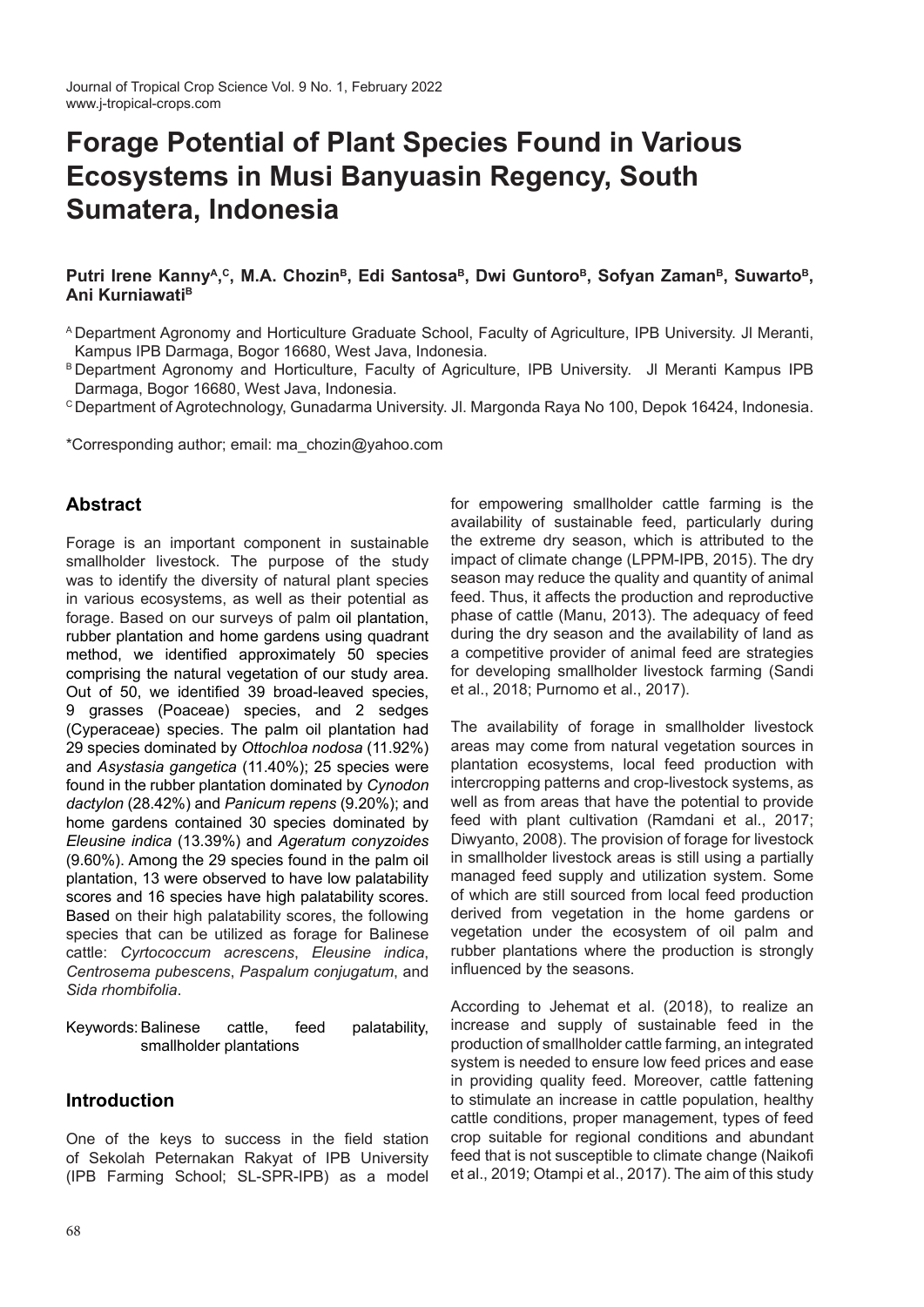# **Forage Potential of Plant Species Found in Various Ecosystems in Musi Banyuasin Regency, South Sumatera, Indonesia**

## **Putri Irene KannyA, <sup>C</sup>, M.A. Chozin<sup>B</sup>, Edi Santosa<sup>B</sup>, Dwi Guntoro<sup>B</sup>, Sofyan Zaman<sup>B</sup>, Suwarto<sup>B</sup>, Ani Kurniawati<sup>B</sup>**

- <sup>A</sup> Department Agronomy and Horticulture Graduate School, Faculty of Agriculture, IPB University. Jl Meranti, Kampus IPB Darmaga, Bogor 16680, West Java, Indonesia.
- B Department Agronomy and Horticulture, Faculty of Agriculture, IPB University. JI Meranti Kampus IPB Darmaga, Bogor 16680, West Java, Indonesia.
- <sup>C</sup> Department of Agrotechnology, Gunadarma University. Jl. Margonda Raya No 100, Depok 16424, Indonesia.

\*Corresponding author; email: ma\_chozin@yahoo.com

## **Abstract**

Forage is an important component in sustainable smallholder livestock. The purpose of the study was to identify the diversity of natural plant species in various ecosystems, as well as their potential as forage. Based on our surveys of palm oil plantation, rubber plantation and home gardens using quadrant method, we identified approximately 50 species comprising the natural vegetation of our study area. Out of 50, we identified 39 broad-leaved species, 9 grasses (Poaceae) species, and 2 sedges (Cyperaceae) species. The palm oil plantation had 29 species dominated by *Ottochloa nodosa* (11.92%) and *Asystasia gangetica* (11.40%); 25 species were found in the rubber plantation dominated by *Cynodon dactylon* (28.42%) and *Panicum repens* (9.20%); and home gardens contained 30 species dominated by *Eleusine indica* (13.39%) and *Ageratum conyzoides* (9.60%). Among the 29 species found in the palm oil plantation, 13 were observed to have low palatability scores and 16 species have high palatability scores. Based on their high palatability scores, the following species that can be utilized as forage for Balinese cattle: *Cyrtococcum acrescens*, *Eleusine indica*, *Centrosema pubescens*, *Paspalum conjugatum*, and *Sida rhombifolia*.

Keywords:Balinese cattle, feed palatability, smallholder plantations

## **Introduction**

One of the keys to success in the field station of Sekolah Peternakan Rakyat of IPB University (IPB Farming School; SL-SPR-IPB) as a model for empowering smallholder cattle farming is the availability of sustainable feed, particularly during the extreme dry season, which is attributed to the impact of climate change (LPPM-IPB, 2015). The dry season may reduce the quality and quantity of animal feed. Thus, it affects the production and reproductive phase of cattle (Manu, 2013). The adequacy of feed during the dry season and the availability of land as a competitive provider of animal feed are strategies for developing smallholder livestock farming (Sandi et al., 2018; Purnomo et al., 2017).

The availability of forage in smallholder livestock areas may come from natural vegetation sources in plantation ecosystems, local feed production with intercropping patterns and crop-livestock systems, as well as from areas that have the potential to provide feed with plant cultivation (Ramdani et al., 2017; Diwyanto, 2008). The provision of forage for livestock in smallholder livestock areas is still using a partially managed feed supply and utilization system. Some of which are still sourced from local feed production derived from vegetation in the home gardens or vegetation under the ecosystem of oil palm and rubber plantations where the production is strongly influenced by the seasons.

According to Jehemat et al. (2018), to realize an increase and supply of sustainable feed in the production of smallholder cattle farming, an integrated system is needed to ensure low feed prices and ease in providing quality feed. Moreover, cattle fattening to stimulate an increase in cattle population, healthy cattle conditions, proper management, types of feed crop suitable for regional conditions and abundant feed that is not susceptible to climate change (Naikofi et al., 2019; Otampi et al., 2017). The aim of this study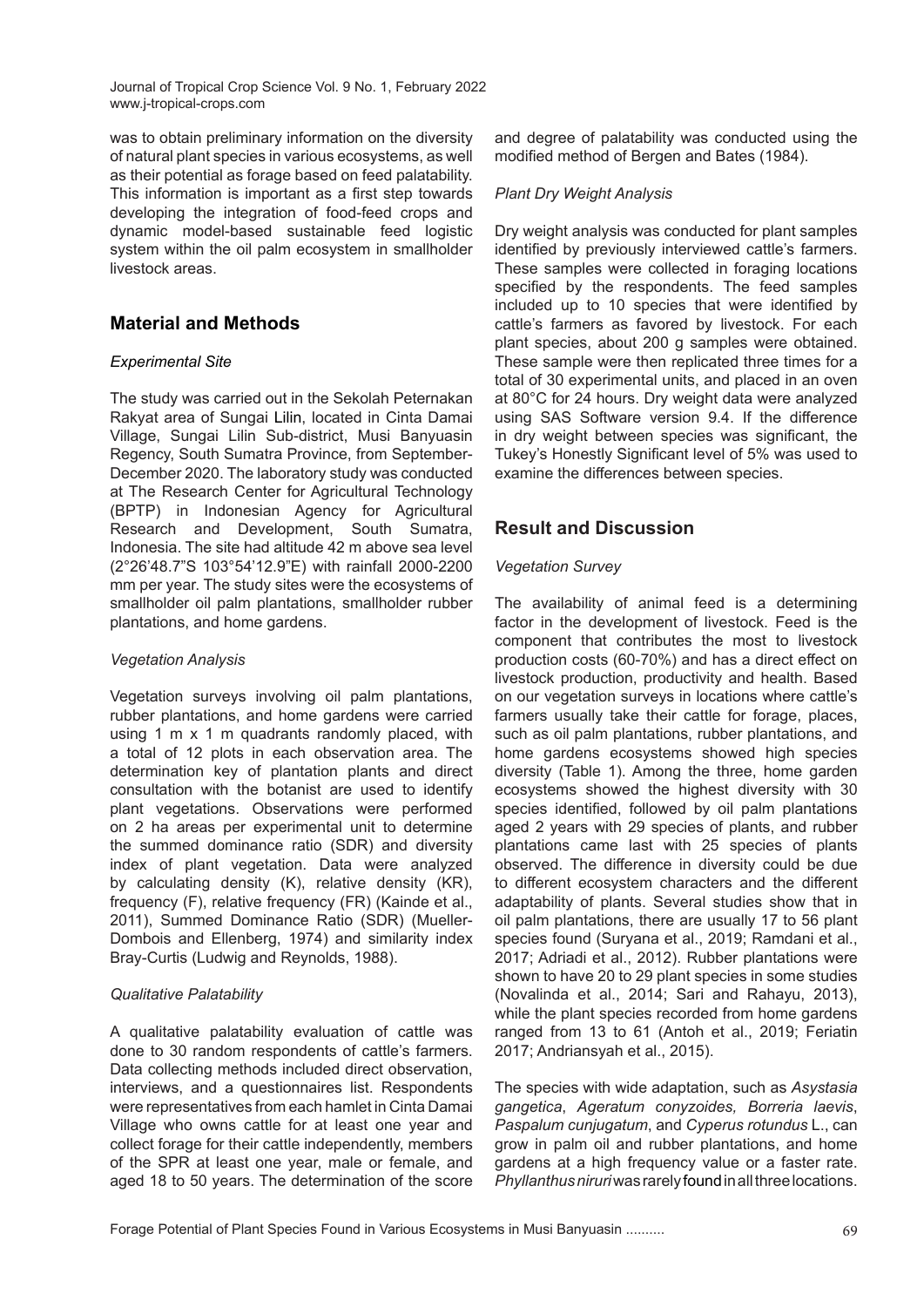was to obtain preliminary information on the diversity of natural plant species in various ecosystems, as well as their potential as forage based on feed palatability. This information is important as a first step towards developing the integration of food-feed crops and dynamic model-based sustainable feed logistic system within the oil palm ecosystem in smallholder livestock areas.

# **Material and Methods**

## *Experimental Site*

The study was carried out in the Sekolah Peternakan Rakyat area of Sungai Lilin, located in Cinta Damai Village, Sungai Lilin Sub-district, Musi Banyuasin Regency, South Sumatra Province, from September-December 2020. The laboratory study was conducted at The Research Center for Agricultural Technology (BPTP) in Indonesian Agency for Agricultural Research and Development, South Sumatra, Indonesia. The site had altitude 42 m above sea level (2°26'48.7"S 103°54'12.9"E) with rainfall 2000-2200 mm per year. The study sites were the ecosystems of smallholder oil palm plantations, smallholder rubber plantations, and home gardens.

#### *Vegetation Analysis*

Vegetation surveys involving oil palm plantations, rubber plantations, and home gardens were carried using 1 m x 1 m quadrants randomly placed, with a total of 12 plots in each observation area. The determination key of plantation plants and direct consultation with the botanist are used to identify plant vegetations. Observations were performed on 2 ha areas per experimental unit to determine the summed dominance ratio (SDR) and diversity index of plant vegetation. Data were analyzed by calculating density (K), relative density (KR), frequency (F), relative frequency (FR) (Kainde et al., 2011), Summed Dominance Ratio (SDR) (Mueller-Dombois and Ellenberg, 1974) and similarity index Bray-Curtis (Ludwig and Reynolds, 1988).

## *Qualitative Palatability*

A qualitative palatability evaluation of cattle was done to 30 random respondents of cattle's farmers. Data collecting methods included direct observation, interviews, and a questionnaires list. Respondents were representatives from each hamlet in Cinta Damai Village who owns cattle for at least one year and collect forage for their cattle independently, members of the SPR at least one year, male or female, and aged 18 to 50 years. The determination of the score

and degree of palatability was conducted using the modified method of Bergen and Bates (1984).

## *Plant Dry Weight Analysis*

Dry weight analysis was conducted for plant samples identified by previously interviewed cattle's farmers. These samples were collected in foraging locations specified by the respondents. The feed samples included up to 10 species that were identified by cattle's farmers as favored by livestock. For each plant species, about 200 g samples were obtained. These sample were then replicated three times for a total of 30 experimental units, and placed in an oven at 80°C for 24 hours. Dry weight data were analyzed using SAS Software version 9.4. If the difference in dry weight between species was significant, the Tukey's Honestly Significant level of 5% was used to examine the differences between species.

## **Result and Discussion**

## *Vegetation Survey*

The availability of animal feed is a determining factor in the development of livestock. Feed is the component that contributes the most to livestock production costs (60-70%) and has a direct effect on livestock production, productivity and health. Based on our vegetation surveys in locations where cattle's farmers usually take their cattle for forage, places, such as oil palm plantations, rubber plantations, and home gardens ecosystems showed high species diversity (Table 1). Among the three, home garden ecosystems showed the highest diversity with 30 species identified, followed by oil palm plantations aged 2 years with 29 species of plants, and rubber plantations came last with 25 species of plants observed. The difference in diversity could be due to different ecosystem characters and the different adaptability of plants. Several studies show that in oil palm plantations, there are usually 17 to 56 plant species found (Suryana et al., 2019; Ramdani et al., 2017; Adriadi et al., 2012). Rubber plantations were shown to have 20 to 29 plant species in some studies (Novalinda et al., 2014; Sari and Rahayu, 2013), while the plant species recorded from home gardens ranged from 13 to 61 (Antoh et al., 2019; Feriatin 2017; Andriansyah et al., 2015).

The species with wide adaptation, such as *Asystasia gangetica*, *Ageratum conyzoides, Borreria laevis*, *Paspalum cunjugatum*, and *Cyperus rotundus* L., can grow in palm oil and rubber plantations, and home gardens at a high frequency value or a faster rate. *Phyllanthus niruri* was rarely found in all three locations.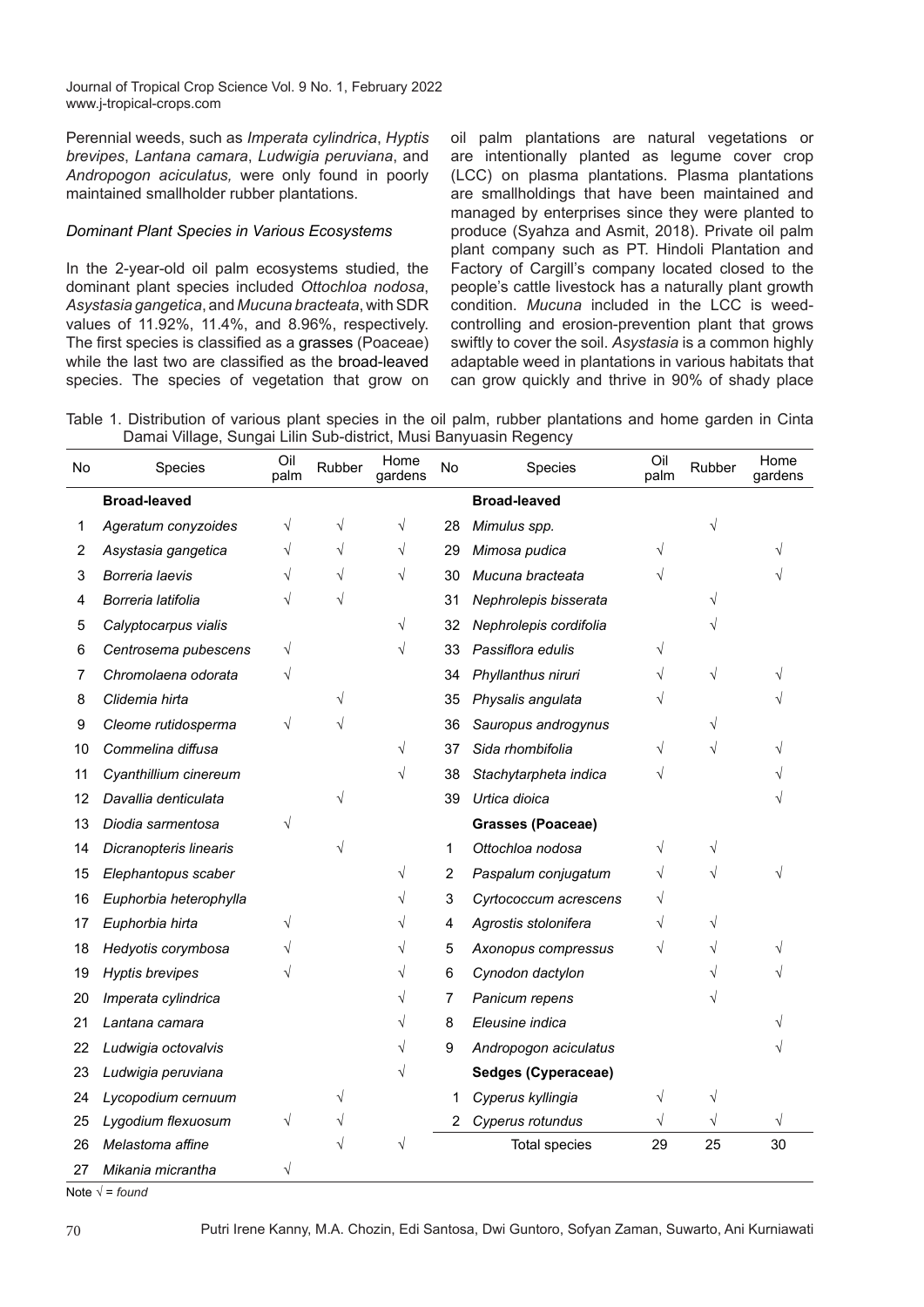Perennial weeds, such as *Imperata cylindrica*, *Hyptis brevipes*, *Lantana camara*, *Ludwigia peruviana*, and *Andropogon aciculatus,* were only found in poorly maintained smallholder rubber plantations.

#### *Dominant Plant Species in Various Ecosystems*

In the 2-year-old oil palm ecosystems studied, the dominant plant species included *Ottochloa nodosa*, *Asystasia gangetica*, and *Mucuna bracteata*, with SDR values of 11.92%, 11.4%, and 8.96%, respectively. The first species is classified as a grasses (Poaceae) while the last two are classified as the broad-leaved species. The species of vegetation that grow on oil palm plantations are natural vegetations or are intentionally planted as legume cover crop (LCC) on plasma plantations. Plasma plantations are smallholdings that have been maintained and managed by enterprises since they were planted to produce (Syahza and Asmit, 2018). Private oil palm plant company such as PT. Hindoli Plantation and Factory of Cargill's company located closed to the people's cattle livestock has a naturally plant growth condition. *Mucuna* included in the LCC is weedcontrolling and erosion-prevention plant that grows swiftly to cover the soil. *Asystasia* is a common highly adaptable weed in plantations in various habitats that can grow quickly and thrive in 90% of shady place

Table 1. Distribution of various plant species in the oil palm, rubber plantations and home garden in Cinta Damai Village, Sungai Lilin Sub-district, Musi Banyuasin Regency

| No | Species                | Oil<br>palm | Rubber | Home<br>gardens | No             | Species                | Oil<br>palm | Rubber    | Home<br>gardens |
|----|------------------------|-------------|--------|-----------------|----------------|------------------------|-------------|-----------|-----------------|
|    | <b>Broad-leaved</b>    |             |        |                 |                | <b>Broad-leaved</b>    |             |           |                 |
| 1  | Ageratum conyzoides    | V           | V      | $\sqrt{}$       | 28             | Mimulus spp.           |             |           |                 |
| 2  | Asystasia gangetica    | V           |        | V               | 29             | Mimosa pudica          |             |           |                 |
| 3  | Borreria laevis        |             |        | V               | 30             | Mucuna bracteata       |             |           |                 |
| 4  | Borreria latifolia     | V           |        |                 | 31             | Nephrolepis bisserata  |             |           |                 |
| 5  | Calyptocarpus vialis   |             |        | V               | 32             | Nephrolepis cordifolia |             |           |                 |
| 6  | Centrosema pubescens   | V           |        | V               | 33             | Passiflora edulis      | V           |           |                 |
| 7  | Chromolaena odorata    | V           |        |                 | 34             | Phyllanthus niruri     | V           | V         |                 |
| 8  | Clidemia hirta         |             |        |                 | 35             | Physalis angulata      |             |           |                 |
| 9  | Cleome rutidosperma    | V           |        |                 | 36             | Sauropus androgynus    |             |           |                 |
| 10 | Commelina diffusa      |             |        | $\sqrt{}$       | 37             | Sida rhombifolia       | V           |           |                 |
| 11 | Cyanthillium cinereum  |             |        | V               | 38             | Stachytarpheta indica  | V           |           |                 |
| 12 | Davallia denticulata   |             |        |                 | 39             | Urtica dioica          |             |           |                 |
| 13 | Diodia sarmentosa      |             |        |                 |                | Grasses (Poaceae)      |             |           |                 |
| 14 | Dicranopteris linearis |             |        |                 | 1              | Ottochloa nodosa       | V           | V         |                 |
| 15 | Elephantopus scaber    |             |        | V               | 2              | Paspalum conjugatum    | V           |           |                 |
| 16 | Euphorbia heterophylla |             |        |                 | 3              | Cyrtococcum acrescens  |             |           |                 |
| 17 | Euphorbia hirta        |             |        |                 | 4              | Agrostis stolonifera   |             |           |                 |
| 18 | Hedyotis corymbosa     |             |        | V               | 5              | Axonopus compressus    | V           |           |                 |
| 19 | <b>Hyptis brevipes</b> |             |        |                 | 6              | Cynodon dactylon       |             |           |                 |
| 20 | Imperata cylindrica    |             |        | V               | 7              | Panicum repens         |             |           |                 |
| 21 | Lantana camara         |             |        | V               | 8              | Eleusine indica        |             |           |                 |
| 22 | Ludwigia octovalvis    |             |        |                 | 9              | Andropogon aciculatus  |             |           |                 |
| 23 | Ludwigia peruviana     |             |        |                 |                | Sedges (Cyperaceae)    |             |           |                 |
| 24 | Lycopodium cernuum     |             |        |                 | 1              | Cyperus kyllingia      | V           | V         |                 |
| 25 | Lygodium flexuosum     |             |        |                 | $\overline{2}$ | Cyperus rotundus       | $\sqrt{}$   | $\sqrt{}$ | V               |
| 26 | Melastoma affine       |             |        |                 |                | <b>Total species</b>   | 29          | 25        | 30              |
| 27 | Mikania micrantha      |             |        |                 |                |                        |             |           |                 |

Note √ = *found*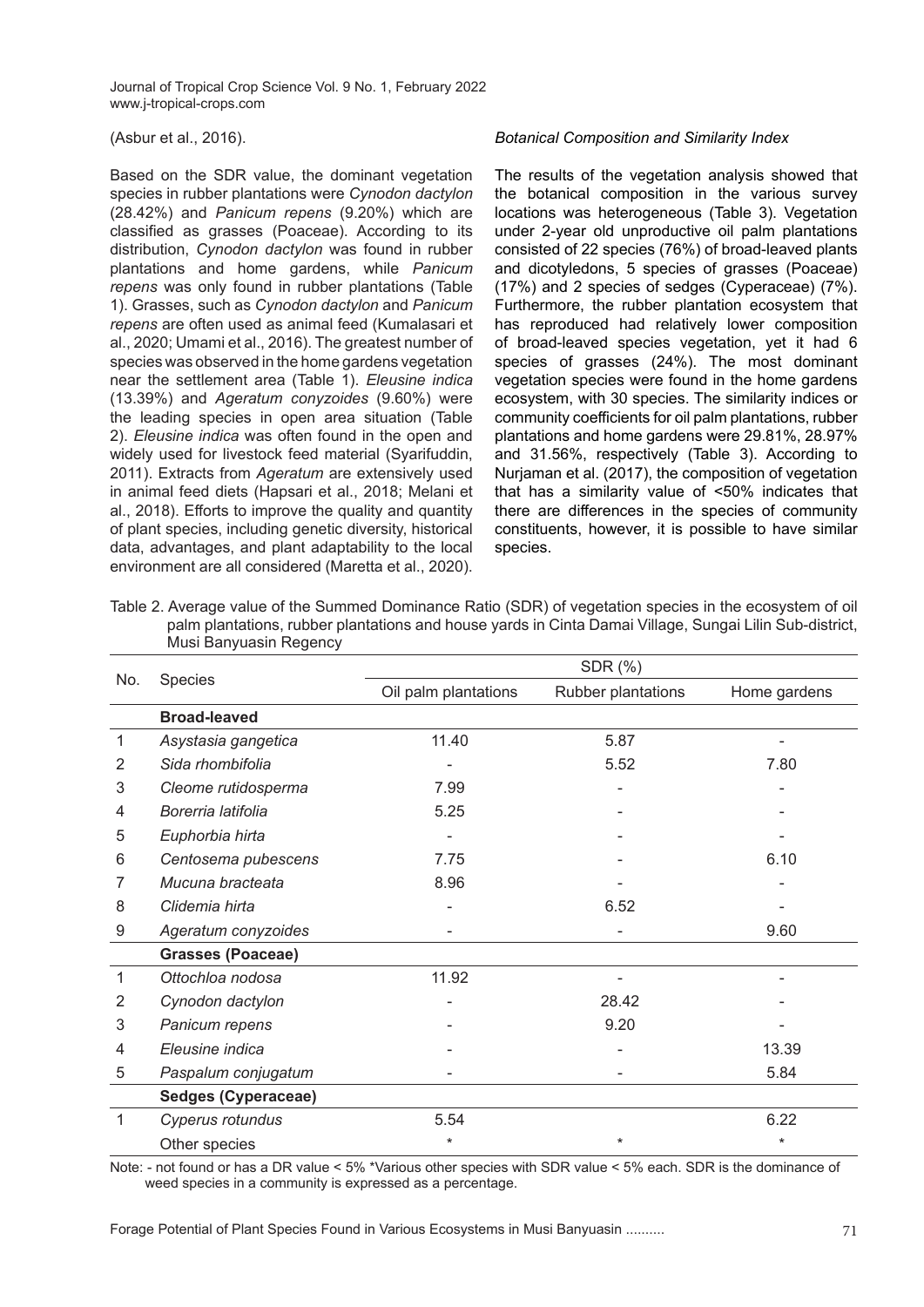(Asbur et al., 2016).

Based on the SDR value, the dominant vegetation species in rubber plantations were *Cynodon dactylon* (28.42%) and *Panicum repens* (9.20%) which are classified as grasses (Poaceae). According to its distribution, *Cynodon dactylon* was found in rubber plantations and home gardens, while *Panicum repens* was only found in rubber plantations (Table 1). Grasses, such as *Cynodon dactylon* and *Panicum repens* are often used as animal feed (Kumalasari et al., 2020; Umami et al., 2016). The greatest number of species was observed in the home gardens vegetation near the settlement area (Table 1). *Eleusine indica* (13.39%) and *Ageratum conyzoides* (9.60%) were the leading species in open area situation (Table 2). *Eleusine indica* was often found in the open and widely used for livestock feed material (Syarifuddin, 2011). Extracts from *Ageratum* are extensively used in animal feed diets (Hapsari et al., 2018; Melani et al., 2018). Efforts to improve the quality and quantity of plant species, including genetic diversity, historical data, advantages, and plant adaptability to the local environment are all considered (Maretta et al., 2020).

## *Botanical Composition and Similarity Index*

The results of the vegetation analysis showed that the botanical composition in the various survey locations was heterogeneous (Table 3). Vegetation under 2-year old unproductive oil palm plantations consisted of 22 species (76%) of broad-leaved plants and dicotyledons, 5 species of grasses (Poaceae) (17%) and 2 species of sedges (Cyperaceae) (7%). Furthermore, the rubber plantation ecosystem that has reproduced had relatively lower composition of broad-leaved species vegetation, yet it had 6 species of grasses (24%). The most dominant vegetation species were found in the home gardens ecosystem, with 30 species. The similarity indices or community coefficients for oil palm plantations, rubber plantations and home gardens were 29.81%, 28.97% and 31.56%, respectively (Table 3). According to Nurjaman et al. (2017), the composition of vegetation that has a similarity value of <50% indicates that there are differences in the species of community constituents, however, it is possible to have similar species.

|     | muəl Dalıyudəlli Reyclivy |                      |                    |              |  |  |  |
|-----|---------------------------|----------------------|--------------------|--------------|--|--|--|
|     |                           | SDR (%)              |                    |              |  |  |  |
| No. | Species                   | Oil palm plantations | Rubber plantations | Home gardens |  |  |  |
|     | <b>Broad-leaved</b>       |                      |                    |              |  |  |  |
| 1   | Asystasia gangetica       | 11.40                | 5.87               |              |  |  |  |
| 2   | Sida rhombifolia          |                      | 5.52               | 7.80         |  |  |  |
| 3   | Cleome rutidosperma       | 7.99                 |                    |              |  |  |  |
| 4   | Borerria latifolia        | 5.25                 |                    |              |  |  |  |
| 5   | Euphorbia hirta           |                      |                    |              |  |  |  |
| 6   | Centosema pubescens       | 7.75                 |                    | 6.10         |  |  |  |
|     | Mucuna bracteata          | 8.96                 |                    |              |  |  |  |
| 8   | Clidemia hirta            |                      | 6.52               |              |  |  |  |
| 9   | Ageratum conyzoides       |                      |                    | 9.60         |  |  |  |
|     | <b>Grasses (Poaceae)</b>  |                      |                    |              |  |  |  |
| 1   | Ottochloa nodosa          | 11.92                |                    |              |  |  |  |
| 2   | Cynodon dactylon          |                      | 28.42              |              |  |  |  |
| 3   | Panicum repens            |                      | 9.20               |              |  |  |  |
| 4   | Eleusine indica           |                      |                    | 13.39        |  |  |  |
| 5   | Paspalum conjugatum       |                      |                    | 5.84         |  |  |  |
|     | Sedges (Cyperaceae)       |                      |                    |              |  |  |  |
| 1   | Cyperus rotundus          | 5.54                 |                    | 6.22         |  |  |  |
|     | Other species             | $^\star$             | $^\star$           | $^\star$     |  |  |  |

Table 2. Average value of the Summed Dominance Ratio (SDR) of vegetation species in the ecosystem of oil palm plantations, rubber plantations and house yards in Cinta Damai Village, Sungai Lilin Sub-district, .<br>Musi Banyuasin Regency

Note: - not found or has a DR value < 5% \*Various other species with SDR value < 5% each. SDR is the dominance of weed species in a community is expressed as a percentage.

Forage Potential of Plant Species Found in Various Ecosystems in Musi Banyuasin ..........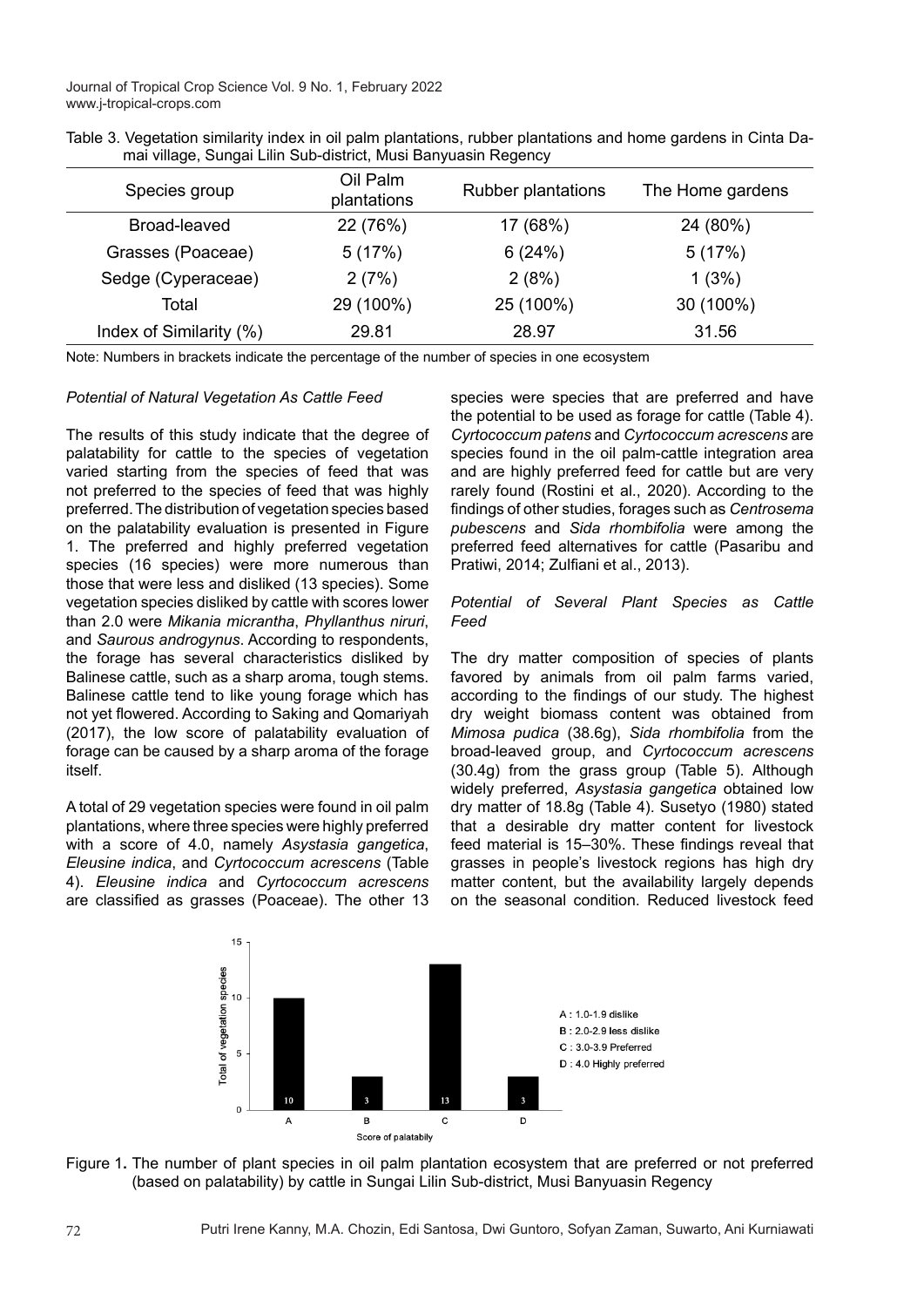|  |                                                                | Table 3. Vegetation similarity index in oil palm plantations, rubber plantations and home gardens in Cinta Da- |  |
|--|----------------------------------------------------------------|----------------------------------------------------------------------------------------------------------------|--|
|  | mai village, Sungai Lilin Sub-district, Musi Banyuasin Regency |                                                                                                                |  |

| Species group           | Oil Palm<br>plantations | <b>Rubber plantations</b> | The Home gardens |  |
|-------------------------|-------------------------|---------------------------|------------------|--|
| Broad-leaved            | 22 (76%)                | 17 (68%)                  | 24 (80%)         |  |
| Grasses (Poaceae)       | 5(17%)                  | 6(24%)                    | 5(17%)           |  |
| Sedge (Cyperaceae)      | 2(7%)                   | 2(8%)                     | 1(3%)            |  |
| Total                   | 29 (100%)               | 25 (100%)                 | 30 (100%)        |  |
| Index of Similarity (%) | 29.81                   | 28.97                     | 31.56            |  |

Note: Numbers in brackets indicate the percentage of the number of species in one ecosystem

#### *Potential of Natural Vegetation As Cattle Feed*

The results of this study indicate that the degree of palatability for cattle to the species of vegetation varied starting from the species of feed that was not preferred to the species of feed that was highly preferred. The distribution of vegetation species based on the palatability evaluation is presented in Figure 1. The preferred and highly preferred vegetation species (16 species) were more numerous than those that were less and disliked (13 species). Some vegetation species disliked by cattle with scores lower than 2.0 were *Mikania micrantha*, *Phyllanthus niruri*, and *Saurous androgynus*. According to respondents, the forage has several characteristics disliked by Balinese cattle, such as a sharp aroma, tough stems. Balinese cattle tend to like young forage which has not yet flowered. According to Saking and Qomariyah (2017), the low score of palatability evaluation of forage can be caused by a sharp aroma of the forage itself.

A total of 29 vegetation species were found in oil palm plantations, where three species were highly preferred with a score of 4.0, namely *Asystasia gangetica*, *Eleusine indica*, and *Cyrtococcum acrescens* (Table 4). *Eleusine indica* and *Cyrtococcum acrescens* are classified as grasses (Poaceae). The other 13 species were species that are preferred and have the potential to be used as forage for cattle (Table 4). *Cyrtococcum patens* and *Cyrtococcum acrescens* are species found in the oil palm-cattle integration area and are highly preferred feed for cattle but are very rarely found (Rostini et al., 2020). According to the findings of other studies, forages such as *Centrosema pubescens* and *Sida rhombifolia* were among the preferred feed alternatives for cattle (Pasaribu and Pratiwi, 2014; Zulfiani et al., 2013).

*Potential of Several Plant Species as Cattle Feed*

The dry matter composition of species of plants favored by animals from oil palm farms varied, according to the findings of our study. The highest dry weight biomass content was obtained from *Mimosa pudica* (38.6g), *Sida rhombifolia* from the broad-leaved group, and *Cyrtococcum acrescens* (30.4g) from the grass group (Table 5). Although widely preferred, *Asystasia gangetica* obtained low dry matter of 18.8g (Table 4). Susetyo (1980) stated that a desirable dry matter content for livestock feed material is 15–30%. These findings reveal that grasses in people's livestock regions has high dry matter content, but the availability largely depends on the seasonal condition. Reduced livestock feed



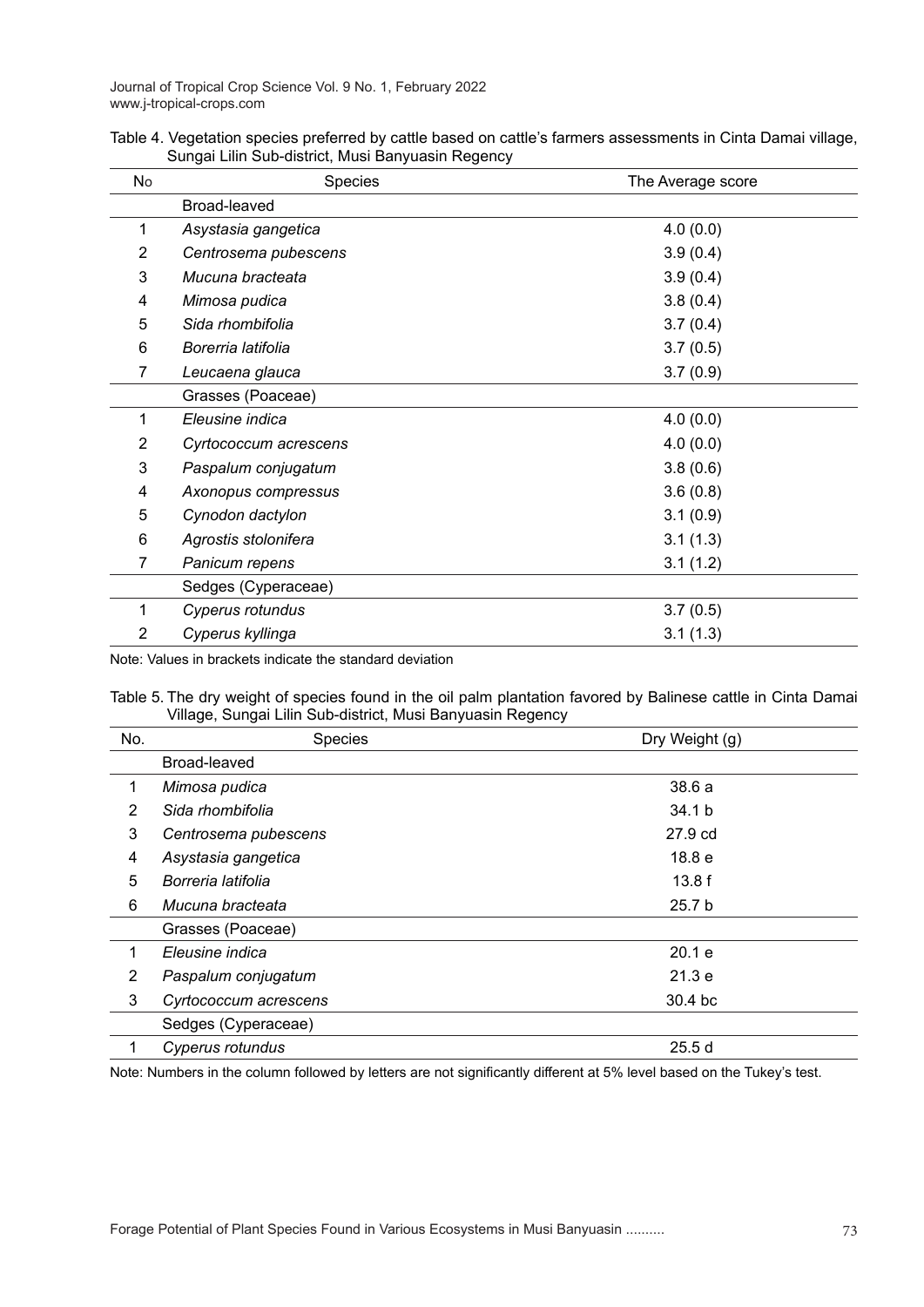| Table 4. Vegetation species preferred by cattle based on cattle's farmers assessments in Cinta Damai village, |  |                                                   |  |  |  |
|---------------------------------------------------------------------------------------------------------------|--|---------------------------------------------------|--|--|--|
|                                                                                                               |  | Sungai Lilin Sub-district, Musi Banyuasin Regency |  |  |  |

| No             | Species               | The Average score |
|----------------|-----------------------|-------------------|
|                | Broad-leaved          |                   |
| 1              | Asystasia gangetica   | 4.0(0.0)          |
| 2              | Centrosema pubescens  | 3.9(0.4)          |
| 3              | Mucuna bracteata      | 3.9(0.4)          |
| 4              | Mimosa pudica         | 3.8(0.4)          |
| 5              | Sida rhombifolia      | 3.7(0.4)          |
| 6              | Borerria latifolia    | 3.7(0.5)          |
| 7              | Leucaena glauca       | 3.7(0.9)          |
|                | Grasses (Poaceae)     |                   |
| 1              | Eleusine indica       | 4.0(0.0)          |
| $\overline{2}$ | Cyrtococcum acrescens | 4.0(0.0)          |
| 3              | Paspalum conjugatum   | 3.8(0.6)          |
| 4              | Axonopus compressus   | 3.6(0.8)          |
| 5              | Cynodon dactylon      | 3.1(0.9)          |
| 6              | Agrostis stolonifera  | 3.1(1.3)          |
| 7              | Panicum repens        | 3.1(1.2)          |
|                | Sedges (Cyperaceae)   |                   |
| 1              | Cyperus rotundus      | 3.7(0.5)          |
| 2              | Cyperus kyllinga      | 3.1(1.3)          |

Note: Values in brackets indicate the standard deviation

Table 5. The dry weight of species found in the oil palm plantation favored by Balinese cattle in Cinta Damai Village, Sungai Lilin Sub-district, Musi Banyuasin Regency

| No.            | Species               | Dry Weight (g)    |
|----------------|-----------------------|-------------------|
|                | Broad-leaved          |                   |
|                | Mimosa pudica         | 38.6 a            |
| $\overline{2}$ | Sida rhombifolia      | 34.1 b            |
| 3              | Centrosema pubescens  | 27.9 cd           |
| 4              | Asystasia gangetica   | 18.8e             |
| 5              | Borreria latifolia    | 13.8f             |
| 6              | Mucuna bracteata      | 25.7 <sub>b</sub> |
|                | Grasses (Poaceae)     |                   |
| 1              | Eleusine indica       | 20.1 e            |
| 2              | Paspalum conjugatum   | 21.3 e            |
| 3              | Cyrtococcum acrescens | 30.4 bc           |
|                | Sedges (Cyperaceae)   |                   |
|                | Cyperus rotundus      | 25.5d             |

Note: Numbers in the column followed by letters are not significantly different at 5% level based on the Tukey's test.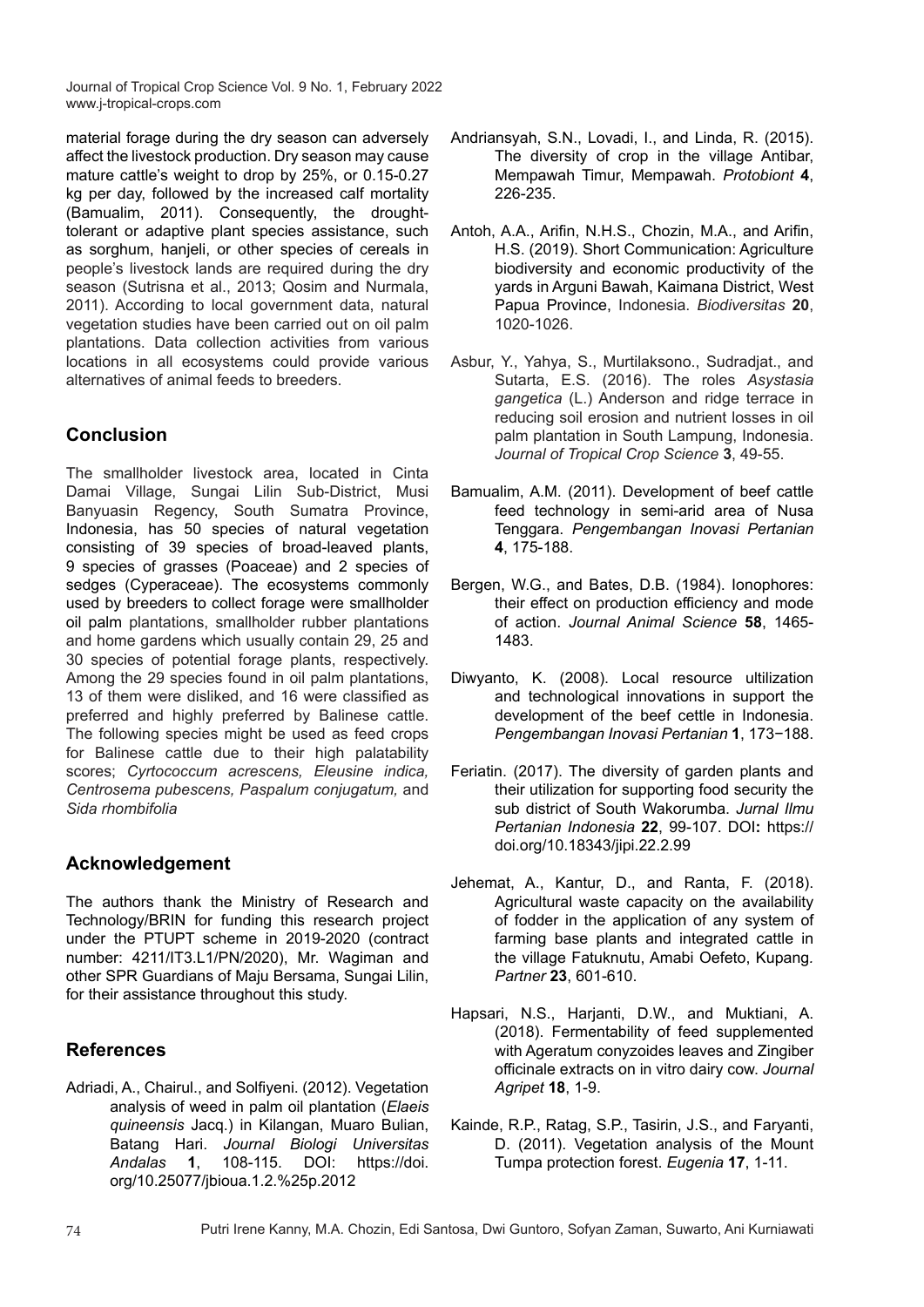material forage during the dry season can adversely affect the livestock production. Dry season may cause mature cattle's weight to drop by 25%, or 0.15-0.27 kg per day, followed by the increased calf mortality (Bamualim, 2011). Consequently, the droughttolerant or adaptive plant species assistance, such as sorghum, hanjeli, or other species of cereals in people's livestock lands are required during the dry season (Sutrisna et al., 2013; Qosim and Nurmala, 2011). According to local government data, natural vegetation studies have been carried out on oil palm plantations. Data collection activities from various locations in all ecosystems could provide various alternatives of animal feeds to breeders.

# **Conclusion**

The smallholder livestock area, located in Cinta Damai Village, Sungai Lilin Sub-District, Musi Banyuasin Regency, South Sumatra Province, Indonesia, has 50 species of natural vegetation consisting of 39 species of broad-leaved plants, 9 species of grasses (Poaceae) and 2 species of sedges (Cyperaceae). The ecosystems commonly used by breeders to collect forage were smallholder oil palm plantations, smallholder rubber plantations and home gardens which usually contain 29, 25 and 30 species of potential forage plants, respectively. Among the 29 species found in oil palm plantations, 13 of them were disliked, and 16 were classified as preferred and highly preferred by Balinese cattle. The following species might be used as feed crops for Balinese cattle due to their high palatability scores; *Cyrtococcum acrescens, Eleusine indica, Centrosema pubescens, Paspalum conjugatum,* and *Sida rhombifolia*

# **Acknowledgement**

The authors thank the Ministry of Research and Technology/BRIN for funding this research project under the PTUPT scheme in 2019-2020 (contract number: 4211/IT3.L1/PN/2020), Mr. Wagiman and other SPR Guardians of Maju Bersama, Sungai Lilin, for their assistance throughout this study.

## **References**

Adriadi, A., Chairul., and Solfiyeni. (2012). Vegetation analysis of weed in palm oil plantation (*Elaeis quineensis* Jacq.) in Kilangan, Muaro Bulian, Batang Hari. *Journal Biologi Universitas Andalas* **1**, 108-115. DOI: https://doi. org/10.25077/jbioua.1.2.%25p.2012

- Andriansyah, S.N., Lovadi, I., and Linda, R. (2015). The diversity of crop in the village Antibar, Mempawah Timur, Mempawah. *Protobiont* **4**, 226-235.
- Antoh, A.A., Arifin, N.H.S., Chozin, M.A., and Arifin, H.S. (2019). Short Communication: Agriculture biodiversity and economic productivity of the yards in Arguni Bawah, Kaimana District, West Papua Province, Indonesia. *Biodiversitas* **20**, 1020-1026.
- Asbur, Y., Yahya, S., Murtilaksono., Sudradjat., and Sutarta, E.S. (2016). The roles *Asystasia gangetica* (L.) Anderson and ridge terrace in reducing soil erosion and nutrient losses in oil palm plantation in South Lampung, Indonesia. *Journal of Tropical Crop Science* **3**, 49-55.
- Bamualim, A.M. (2011). Development of beef cattle feed technology in semi-arid area of Nusa Tenggara. *Pengembangan Inovasi Pertanian* **4**, 175-188.
- Bergen, W.G., and Bates, D.B. (1984). Ionophores: their effect on production efficiency and mode of action. *Journal Animal Science* **58**, 1465- 1483.
- Diwyanto, K. (2008). Local resource ultilization and technological innovations in support the development of the beef cettle in Indonesia. *Pengembangan Inovasi Pertanian* **1**, 173−188.
- Feriatin. (2017). The diversity of garden plants and their utilization for supporting food security the sub district of South Wakorumba. *Jurnal Ilmu Pertanian Indonesia* **22**, 99-107. DOI**:** https:// doi.org/10.18343/jipi.22.2.99
- Jehemat, A., Kantur, D., and Ranta, F. (2018). Agricultural waste capacity on the availability of fodder in the application of any system of farming base plants and integrated cattle in the village Fatuknutu, Amabi Oefeto, Kupang*. Partner* **23**, 601-610.
- Hapsari, N.S., Harjanti, D.W., and Muktiani, A. (2018). Fermentability of feed supplemented with Ageratum convzoides leaves and Zingiber officinale extracts on in vitro dairy cow. *Journal Agripet* **18**, 1-9.
- Kainde, R.P., Ratag, S.P., Tasirin, J.S., and Faryanti, D. (2011). Vegetation analysis of the Mount Tumpa protection forest. *Eugenia* **17**, 1-11.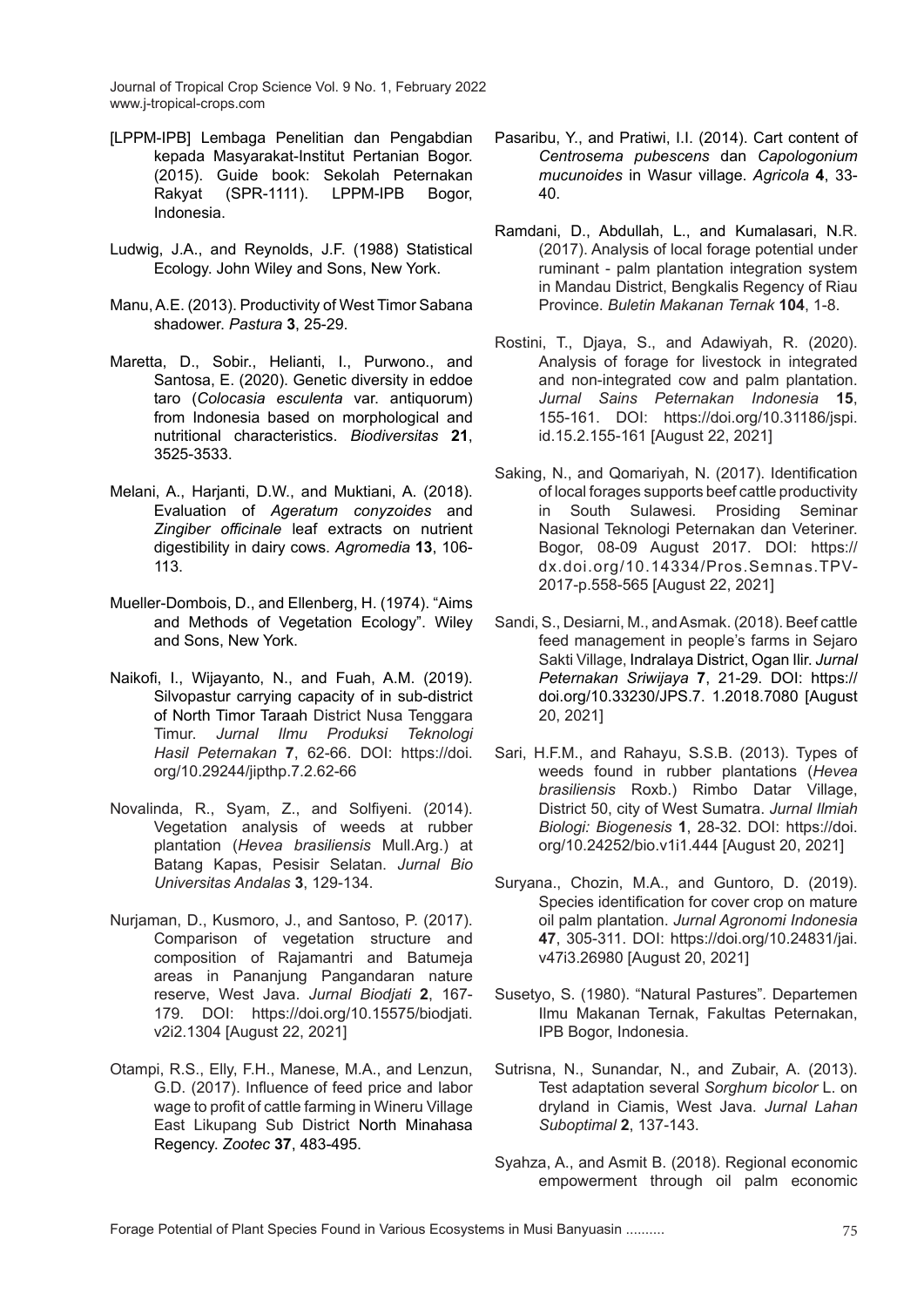- [LPPM-IPB] Lembaga Penelitian dan Pengabdian kepada Masyarakat-Institut Pertanian Bogor. (2015). Guide book: Sekolah Peternakan Rakyat (SPR-1111). LPPM-IPB Bogor, Indonesia.
- Ludwig, J.A., and Reynolds, J.F. (1988) Statistical Ecology. John Wiley and Sons, New York.
- Manu, A.E. (2013). Productivity of West Timor Sabana shadower. *Pastura* **3**, 25-29.
- Maretta, D., Sobir., Helianti, I., Purwono., and Santosa, E. (2020). Genetic diversity in eddoe taro (*Colocasia esculenta* var. antiquorum) from Indonesia based on morphological and nutritional characteristics. *Biodiversitas* **21**, 3525-3533.
- Melani, A., Harjanti, D.W., and Muktiani, A. (2018). Evaluation of *Ageratum conyzoides* and *Zingiber officinale* leaf extracts on nutrient digestibility in dairy cows. *Agromedia* **13**, 106- 113.
- Mueller-Dombois, D., and Ellenberg, H. (1974). "Aims and Methods of Vegetation Ecology". Wiley and Sons, New York.
- Naikofi, I., Wijayanto, N., and Fuah, A.M. (2019). Silvopastur carrying capacity of in sub-district of North Timor Taraah District Nusa Tenggara Timur. *Jurnal Ilmu Produksi Teknologi Hasil Peternakan* **7**, 62-66. DOI: https://doi. org/10.29244/jipthp.7.2.62-66
- Novalinda, R., Syam, Z., and Solfiyeni. (2014). Vegetation analysis of weeds at rubber plantation (*Hevea brasiliensis* Mull.Arg.) at Batang Kapas, Pesisir Selatan. *Jurnal Bio Universitas Andalas* **3**, 129-134.
- Nurjaman, D., Kusmoro, J., and Santoso, P. (2017). Comparison of vegetation structure and composition of Rajamantri and Batumeja areas in Pananjung Pangandaran nature reserve, West Java. *Jurnal Biodjati* **2**, 167- 179. DOI: https://doi.org/10.15575/biodjati. v2i2.1304 [August 22, 2021]
- Otampi, R.S., Elly, F.H., Manese, M.A., and Lenzun, G.D. (2017). Influence of feed price and labor wage to profit of cattle farming in Wineru Village East Likupang Sub District North Minahasa Regency. *Zootec* **37**, 483-495.
- Pasaribu, Y., and Pratiwi, I.I. (2014). Cart content of *Centrosema pubescens* dan *Capologonium mucunoides* in Wasur village. *Agricola* **4**, 33- 40.
- Ramdani, D., Abdullah, L., and Kumalasari, N.R. (2017). Analysis of local forage potential under ruminant - palm plantation integration system in Mandau District, Bengkalis Regency of Riau Province. *Buletin Makanan Ternak* **104**, 1-8.
- Rostini, T., Djaya, S., and Adawiyah, R. (2020). Analysis of forage for livestock in integrated and non-integrated cow and palm plantation. *Jurnal Sains Peternakan Indonesia* **15**, 155-161. DOI: https://doi.org/10.31186/jspi. id.15.2.155-161 [August 22, 2021]
- Saking, N., and Qomariyah, N. (2017). Identification of local forages supports beef cattle productivity in South Sulawesi*.* Prosiding Seminar Nasional Teknologi Peternakan dan Veteriner. Bogor, 08-09 August 2017. DOI: https:// dx.doi.org/10.14334/Pros.Semnas.TPV-2017-p.558-565 [August 22, 2021]
- Sandi, S., Desiarni, M., and Asmak. (2018). Beef cattle feed management in people's farms in Sejaro Sakti Village, Indralaya District, Ogan Ilir. *Jurnal Peternakan Sriwijaya* **7**, 21-29. DOI: https:// doi.org/10.33230/JPS.7. 1.2018.7080 [August 20, 2021]
- Sari, H.F.M., and Rahayu, S.S.B. (2013). Types of weeds found in rubber plantations (*Hevea brasiliensis* Roxb.) Rimbo Datar Village, District 50, city of West Sumatra. *Jurnal Ilmiah Biologi: Biogenesis* **1**, 28-32. DOI: https://doi. org/10.24252/bio.v1i1.444 [August 20, 2021]
- Suryana., Chozin, M.A., and Guntoro, D. (2019). Species identification for cover crop on mature oil palm plantation. *Jurnal Agronomi Indonesia* **47**, 305-311. DOI: https://doi.org/10.24831/jai. v47i3.26980 [August 20, 2021]
- Susetyo, S. (1980). "Natural Pastures"*.* Departemen Ilmu Makanan Ternak, Fakultas Peternakan, IPB Bogor, Indonesia.
- Sutrisna, N., Sunandar, N., and Zubair, A. (2013). Test adaptation several *Sorghum bicolor* L. on dryland in Ciamis, West Java. *Jurnal Lahan Suboptimal* **2**, 137-143.
- Syahza, A., and Asmit B. (2018). Regional economic empowerment through oil palm economic